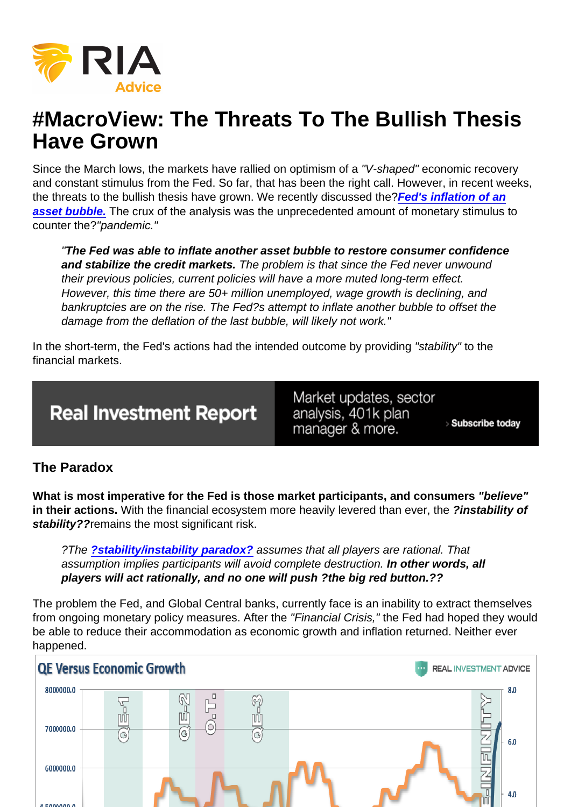# #MacroView: The Threats To The Bullish Thesis Have Grown

Since the March lows, the markets have rallied on optimism of a "V-shaped" economic recovery and constant stimulus from the Fed. So far, that has been the right call. However, in recent weeks, the threats to the bullish thesis have grown. We recently discussed the?[Fed's inflation of an](https://realinvestmentadvice.com/macroview-the-fed-has-inflated-another-asset-bubble/) [asset bubble.](https://realinvestmentadvice.com/macroview-the-fed-has-inflated-another-asset-bubble/) The crux of the analysis was the unprecedented amount of monetary stimulus to counter the?"pandemic."

"The Fed was able to inflate another asset bubble to restore consumer confidence and stabilize the credit markets. The problem is that since the Fed never unwound their previous policies, current policies will have a more muted long-term effect. However, this time there are 50+ million unemployed, wage growth is declining, and bankruptcies are on the rise. The Fed?s attempt to inflate another bubble to offset the damage from the deflation of the last bubble, will likely not work."

In the short-term, the Fed's actions had the intended outcome by providing "stability" to the financial markets.

### The Paradox

What is most imperative for the Fed is those market participants, and consumers "believe" in their actions. With the financial ecosystem more heavily levered than ever, the ?instability of stability?? remains the most significant risk.

?The [?stability/instability paradox?](https://realinvestmentadvice.com/the-fed-the-stability-instability-paradox/) assumes that all players are rational. That assumption implies participants will avoid complete destruction. In other words, all players will act rationally, and no one will push ?the big red button.??

The problem the Fed, and Global Central banks, currently face is an inability to extract themselves from ongoing monetary policy measures. After the "Financial Crisis," the Fed had hoped they would be able to reduce their accommodation as economic growth and inflation returned. Neither ever happened.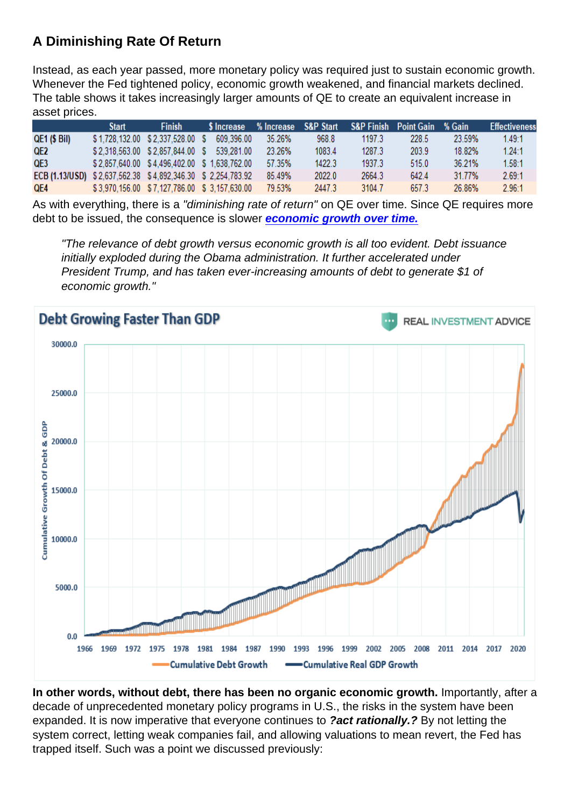# A Diminishing Rate Of Return

Instead, as each year passed, more monetary policy was required just to sustain economic growth. Whenever the Fed tightened policy, economic growth weakened, and financial markets declined. The table shows it takes increasingly larger amounts of QE to create an equivalent increase in asset prices.

As with everything, there is a "diminishing rate of return" on QE over time. Since QE requires more debt to be issued, the consequence is slower [economic growth over time.](https://realinvestmentadvice.com/macroview-is-the-debt-chasm-too-big-for-the-fed-to-fill/)

"The relevance of debt growth versus economic growth is all too evident. Debt issuance initially exploded during the Obama administration. It further accelerated under President Trump, and has taken ever-increasing amounts of debt to generate \$1 of economic growth."

In other words, without debt, there has been no organic economic growth. Importantly, after a decade of unprecedented monetary policy programs in U.S., the risks in the system have been expanded. It is now imperative that everyone continues to ?act rationally.? By not letting the system correct, letting weak companies fail, and allowing valuations to mean revert, the Fed has trapped itself. Such was a point we discussed previously: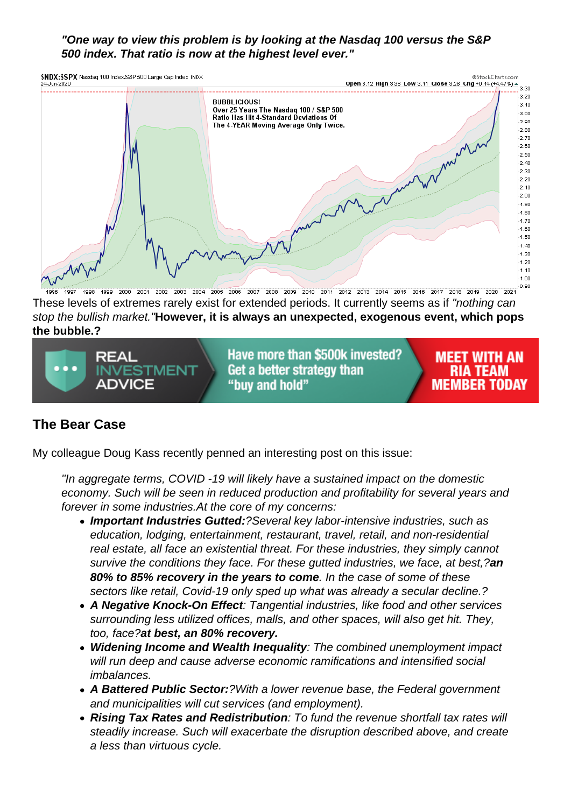"One way to view this problem is by looking at the Nasdaq 100 versus the S&P 500 index. That ratio is now at the highest level ever."

These levels of extremes rarely exist for extended periods. It currently seems as if "nothing can stop the bullish market."However, it is always an unexpected, exogenous event, which pops the bubble.?

# The Bear Case

My colleague Doug Kass recently penned an interesting post on this issue:

"In aggregate terms, COVID -19 will likely have a sustained impact on the domestic economy. Such will be seen in reduced production and profitability for several years and forever in some industries.At the core of my concerns:

- Important Industries Gutted: ?Several key labor-intensive industries, such as education, lodging, entertainment, restaurant, travel, retail, and non-residential real estate, all face an existential threat. For these industries, they simply cannot survive the conditions they face. For these gutted industries, we face, at best,?an 80% to 85% recovery in the years to come . In the case of some of these sectors like retail, Covid-19 only sped up what was already a secular decline.?
- A Negative Knock-On Effect : Tangential industries, like food and other services surrounding less utilized offices, malls, and other spaces, will also get hit. They, too, face?at best, an 80% recovery.
- Widening Income and Wealth Inequality : The combined unemployment impact will run deep and cause adverse economic ramifications and intensified social imbalances.
- A Battered Public Sector: ?With a lower revenue base, the Federal government and municipalities will cut services (and employment).
- Rising Tax Rates and Redistribution : To fund the revenue shortfall tax rates will steadily increase. Such will exacerbate the disruption described above, and create a less than virtuous cycle.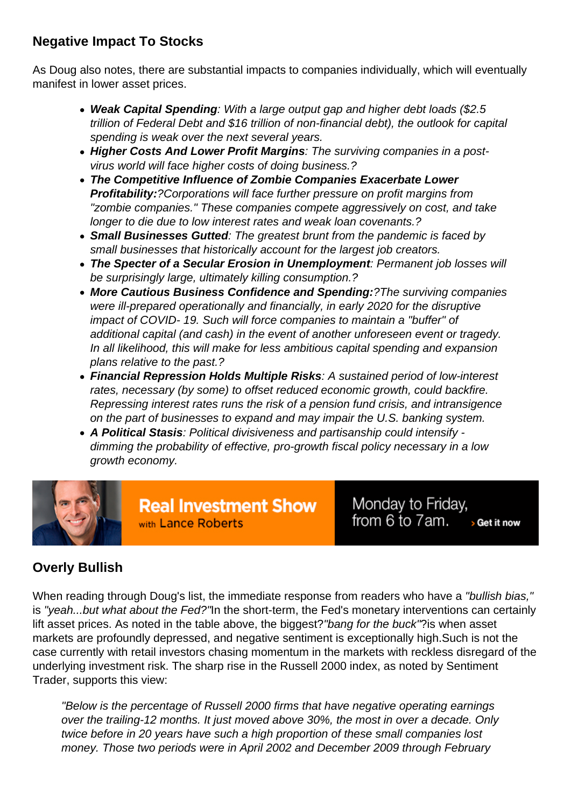## Negative Impact To Stocks

As Doug also notes, there are substantial impacts to companies individually, which will eventually manifest in lower asset prices.

- Weak Capital Spending : With a large output gap and higher debt loads (\$2.5 trillion of Federal Debt and \$16 trillion of non-financial debt), the outlook for capital spending is weak over the next several years.
- Higher Costs And Lower Profit Margins : The surviving companies in a postvirus world will face higher costs of doing business.?
- The Competitive Influence of Zombie Companies Exacerbate Lower Profitability: ?Corporations will face further pressure on profit margins from "zombie companies." These companies compete aggressively on cost, and take longer to die due to low interest rates and weak loan covenants.?
- Small Businesses Gutted : The greatest brunt from the pandemic is faced by small businesses that historically account for the largest job creators.
- The Specter of a Secular Erosion in Unemployment : Permanent job losses will be surprisingly large, ultimately killing consumption.?
- More Cautious Business Confidence and Spending: ? The surviving companies were ill-prepared operationally and financially, in early 2020 for the disruptive impact of COVID- 19. Such will force companies to maintain a "buffer" of additional capital (and cash) in the event of another unforeseen event or tragedy. In all likelihood, this will make for less ambitious capital spending and expansion plans relative to the past.?
- Financial Repression Holds Multiple Risks : A sustained period of low-interest rates, necessary (by some) to offset reduced economic growth, could backfire. Repressing interest rates runs the risk of a pension fund crisis, and intransigence on the part of businesses to expand and may impair the U.S. banking system.
- A Political Stasis : Political divisiveness and partisanship could intensify dimming the probability of effective, pro-growth fiscal policy necessary in a low growth economy.

# Overly Bullish

When reading through Doug's list, the immediate response from readers who have a "bullish bias," is "yeah...but what about the Fed?"In the short-term, the Fed's monetary interventions can certainly lift asset prices. As noted in the table above, the biggest?"bang for the buck"?is when asset markets are profoundly depressed, and negative sentiment is exceptionally high.Such is not the case currently with retail investors chasing momentum in the markets with reckless disregard of the underlying investment risk. The sharp rise in the Russell 2000 index, as noted by Sentiment Trader, supports this view:

"Below is the percentage of Russell 2000 firms that have negative operating earnings over the trailing-12 months. It just moved above 30%, the most in over a decade. Only twice before in 20 years have such a high proportion of these small companies lost money. Those two periods were in April 2002 and December 2009 through February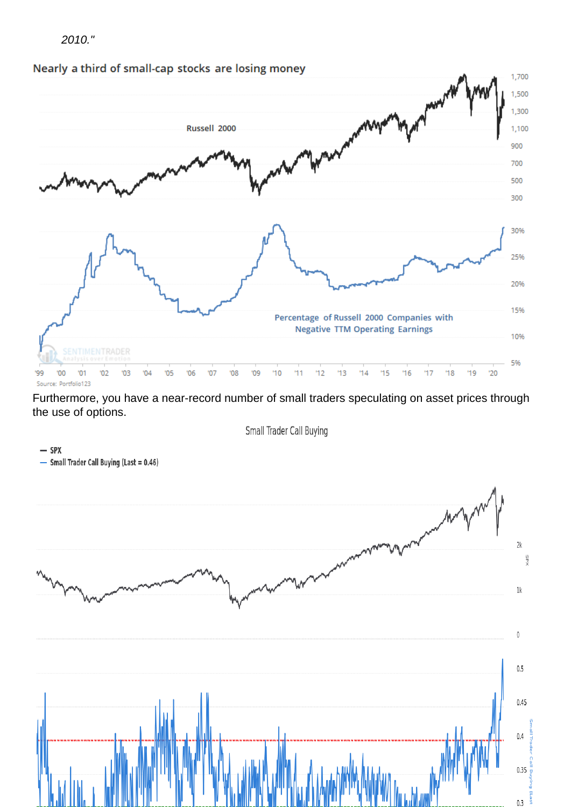2010."

Furthermore, you have a near-record number of small traders speculating on asset prices through the use of options.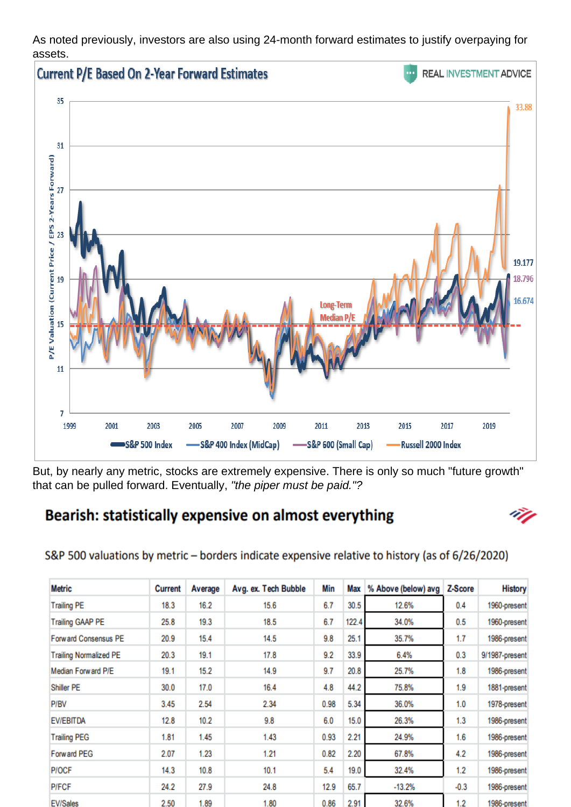As noted previously, investors are also using 24-month forward estimates to justify overpaying for assets.

But, by nearly any metric, stocks are extremely expensive. There is only so much "future growth" that can be pulled forward. Eventually, "the piper must be paid."?